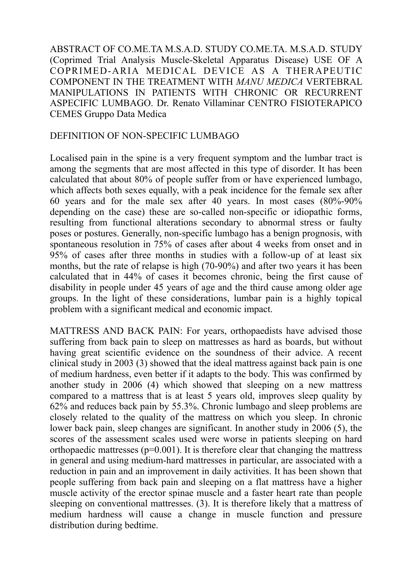ABSTRACT OF CO.ME.TA M.S.A.D. STUDY CO.ME.TA. M.S.A.D. STUDY (Coprimed Trial Analysis Muscle-Skeletal Apparatus Disease) USE OF A COPRIMED-ARIA MEDICAL DEVICE AS A THERAPEUTIC COMPONENT IN THE TREATMENT WITH *MANU MEDICA* VERTEBRAL MANIPULATIONS IN PATIENTS WITH CHRONIC OR RECURRENT ASPECIFIC LUMBAGO. Dr. Renato Villaminar CENTRO FISIOTERAPICO CEMES Gruppo Data Medica

## DEFINITION OF NON-SPECIFIC LUMBAGO

Localised pain in the spine is a very frequent symptom and the lumbar tract is among the segments that are most affected in this type of disorder. It has been calculated that about 80% of people suffer from or have experienced lumbago, which affects both sexes equally, with a peak incidence for the female sex after 60 years and for the male sex after 40 years. In most cases (80%-90% depending on the case) these are so-called non-specific or idiopathic forms, resulting from functional alterations secondary to abnormal stress or faulty poses or postures. Generally, non-specific lumbago has a benign prognosis, with spontaneous resolution in 75% of cases after about 4 weeks from onset and in 95% of cases after three months in studies with a follow-up of at least six months, but the rate of relapse is high (70-90%) and after two years it has been calculated that in 44% of cases it becomes chronic, being the first cause of disability in people under 45 years of age and the third cause among older age groups. In the light of these considerations, lumbar pain is a highly topical problem with a significant medical and economic impact.

MATTRESS AND BACK PAIN: For years, orthopaedists have advised those suffering from back pain to sleep on mattresses as hard as boards, but without having great scientific evidence on the soundness of their advice. A recent clinical study in 2003 (3) showed that the ideal mattress against back pain is one of medium hardness, even better if it adapts to the body. This was confirmed by another study in 2006 (4) which showed that sleeping on a new mattress compared to a mattress that is at least 5 years old, improves sleep quality by 62% and reduces back pain by 55.3%. Chronic lumbago and sleep problems are closely related to the quality of the mattress on which you sleep. In chronic lower back pain, sleep changes are significant. In another study in 2006 (5), the scores of the assessment scales used were worse in patients sleeping on hard orthopaedic mattresses ( $p=0.001$ ). It is therefore clear that changing the mattress in general and using medium-hard mattresses in particular, are associated with a reduction in pain and an improvement in daily activities. It has been shown that people suffering from back pain and sleeping on a flat mattress have a higher muscle activity of the erector spinae muscle and a faster heart rate than people sleeping on conventional mattresses. (3). It is therefore likely that a mattress of medium hardness will cause a change in muscle function and pressure distribution during bedtime.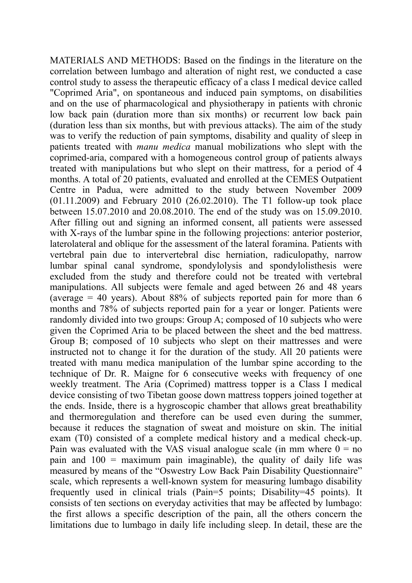MATERIALS AND METHODS: Based on the findings in the literature on the correlation between lumbago and alteration of night rest, we conducted a case control study to assess the therapeutic efficacy of a class I medical device called "Coprimed Aria", on spontaneous and induced pain symptoms, on disabilities and on the use of pharmacological and physiotherapy in patients with chronic low back pain (duration more than six months) or recurrent low back pain (duration less than six months, but with previous attacks). The aim of the study was to verify the reduction of pain symptoms, disability and quality of sleep in patients treated with *manu medica* manual mobilizations who slept with the coprimed-aria, compared with a homogeneous control group of patients always treated with manipulations but who slept on their mattress, for a period of 4 months. A total of 20 patients, evaluated and enrolled at the CEMES Outpatient Centre in Padua, were admitted to the study between November 2009 (01.11.2009) and February 2010 (26.02.2010). The T1 follow-up took place between 15.07.2010 and 20.08.2010. The end of the study was on 15.09.2010. After filling out and signing an informed consent, all patients were assessed with X-rays of the lumbar spine in the following projections: anterior posterior, laterolateral and oblique for the assessment of the lateral foramina. Patients with vertebral pain due to intervertebral disc herniation, radiculopathy, narrow lumbar spinal canal syndrome, spondylolysis and spondylolisthesis were excluded from the study and therefore could not be treated with vertebral manipulations. All subjects were female and aged between 26 and 48 years (average  $= 40$  years). About 88% of subjects reported pain for more than 6 months and 78% of subjects reported pain for a year or longer. Patients were randomly divided into two groups: Group A; composed of 10 subjects who were given the Coprimed Aria to be placed between the sheet and the bed mattress. Group B; composed of 10 subjects who slept on their mattresses and were instructed not to change it for the duration of the study. All 20 patients were treated with manu medica manipulation of the lumbar spine according to the technique of Dr. R. Maigne for 6 consecutive weeks with frequency of one weekly treatment. The Aria (Coprimed) mattress topper is a Class I medical device consisting of two Tibetan goose down mattress toppers joined together at the ends. Inside, there is a hygroscopic chamber that allows great breathability and thermoregulation and therefore can be used even during the summer, because it reduces the stagnation of sweat and moisture on skin. The initial exam (T0) consisted of a complete medical history and a medical check-up. Pain was evaluated with the VAS visual analogue scale (in mm where  $0 = no$ pain and  $100 =$  maximum pain imaginable), the quality of daily life was measured by means of the "Oswestry Low Back Pain Disability Questionnaire" scale, which represents a well-known system for measuring lumbago disability frequently used in clinical trials (Pain=5 points; Disability=45 points). It consists of ten sections on everyday activities that may be affected by lumbago: the first allows a specific description of the pain, all the others concern the limitations due to lumbago in daily life including sleep. In detail, these are the